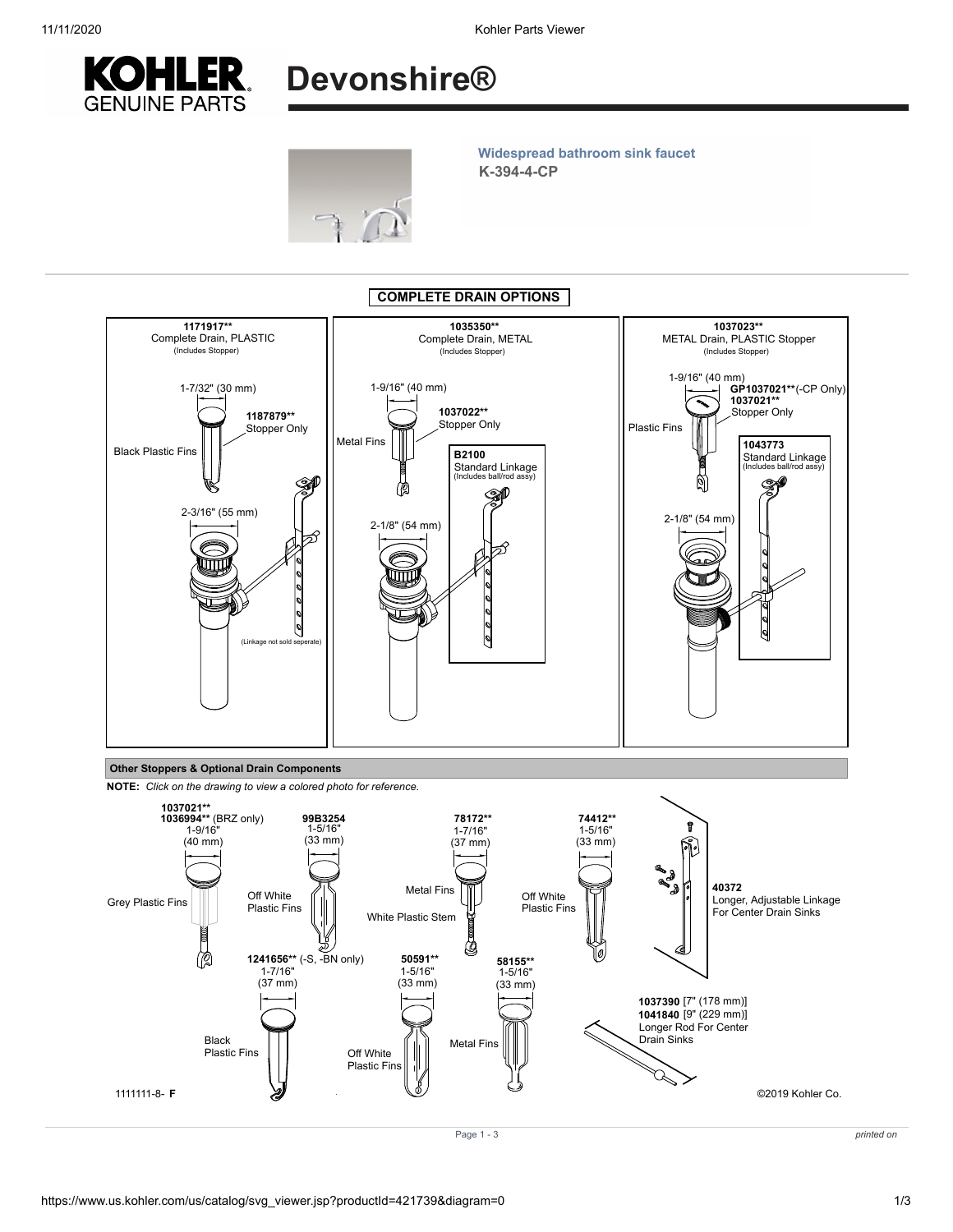



## K-394-4-CP Widespread bathroom sink faucet



Other Stoppers & Optional Drain Components

NOTE: Click on the drawing to view a colored photo for reference.



Page 1 - 3 printed on the set of the set of the set of the set of the set of the set of the set of the set of the set of the set of the set of the set of the set of the set of the set of the set of the set of the set of th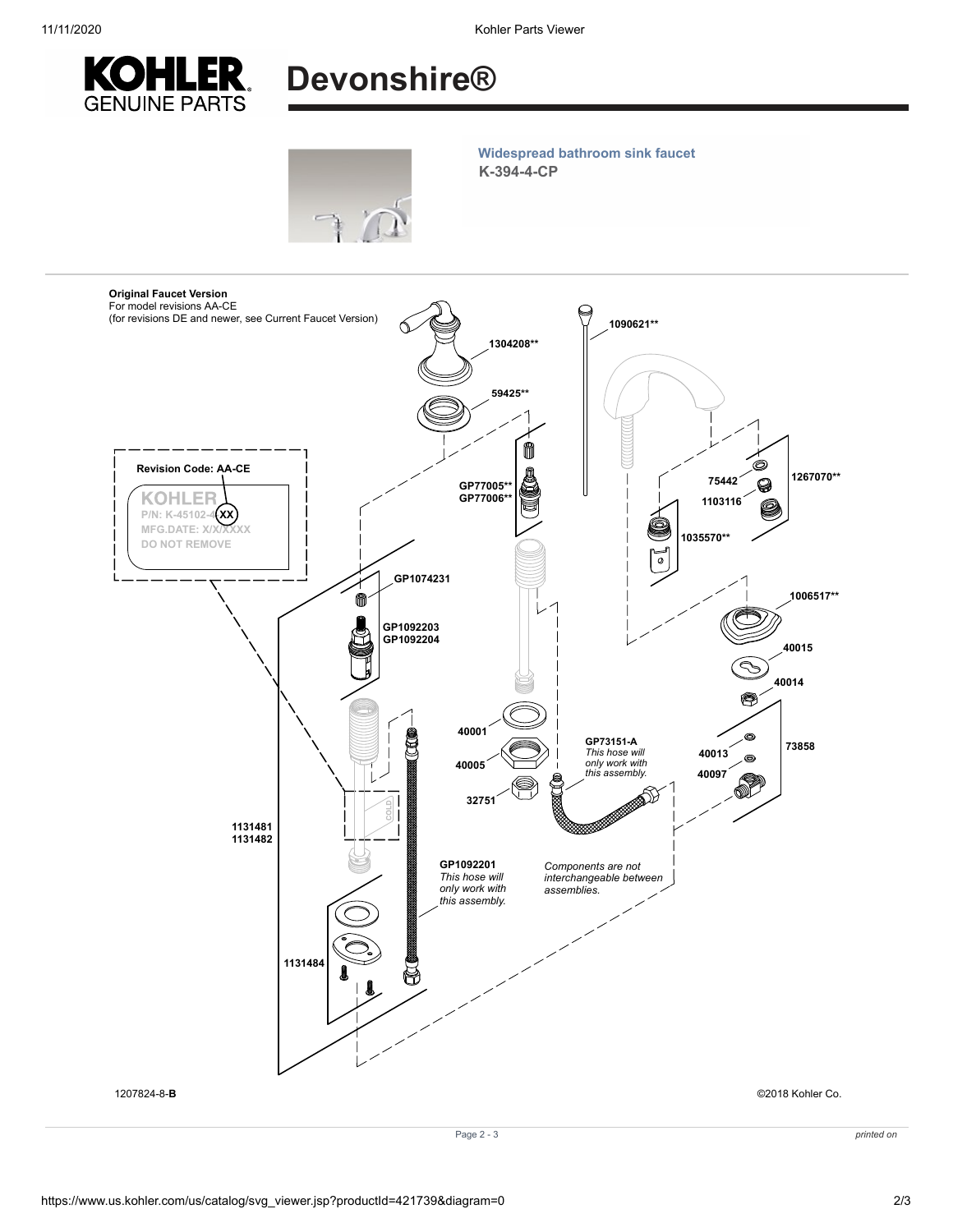

## Devonshire®